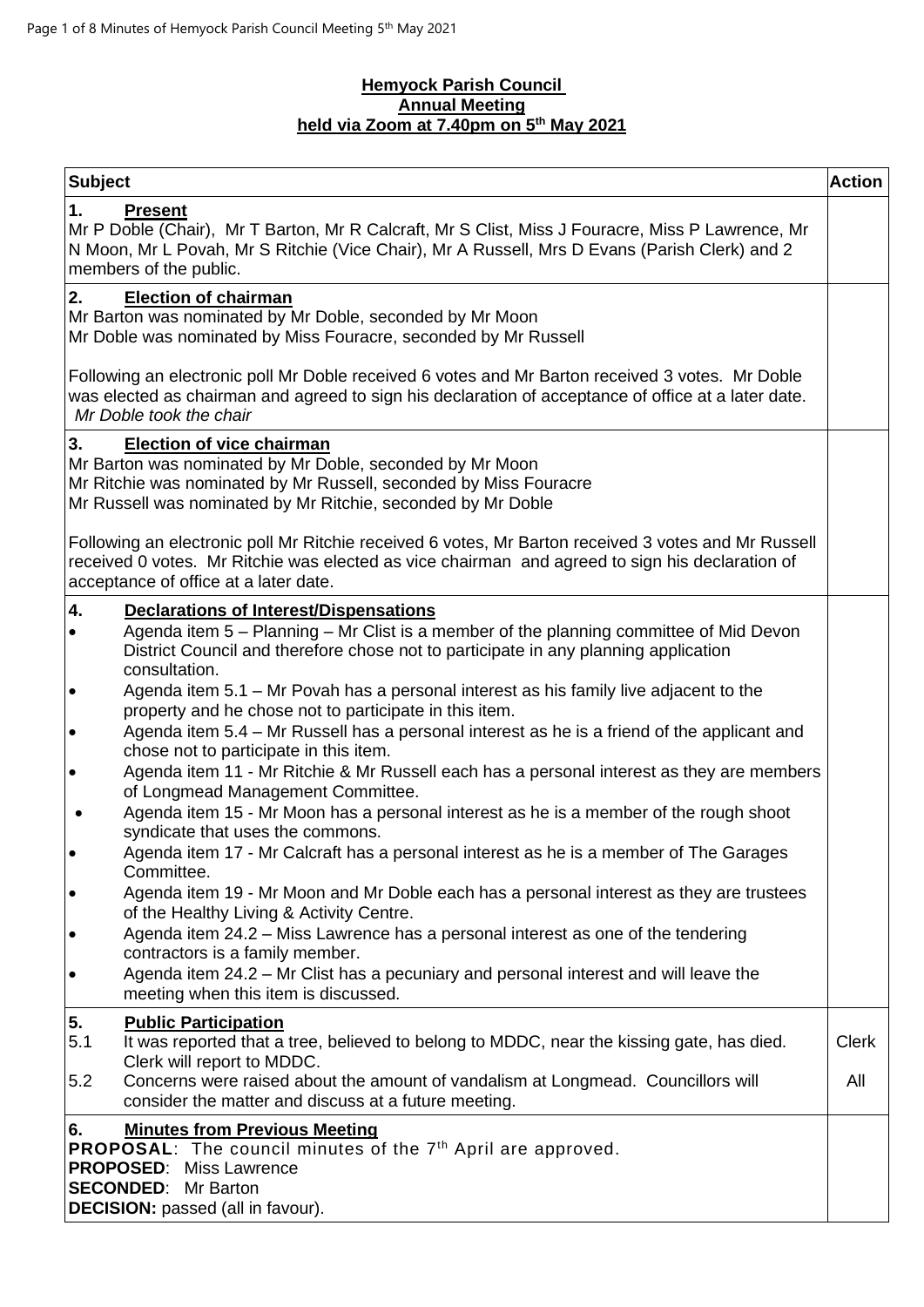## **Hemyock Parish Council Annual Meeting held via Zoom at 7.40pm on 5 th May 2021**

| <b>Subject</b>                                                                                                                                                                                                                                      | <b>Action</b> |
|-----------------------------------------------------------------------------------------------------------------------------------------------------------------------------------------------------------------------------------------------------|---------------|
| 1.<br><b>Present</b><br>Mr P Doble (Chair), Mr T Barton, Mr R Calcraft, Mr S Clist, Miss J Fouracre, Miss P Lawrence, Mr<br>N Moon, Mr L Povah, Mr S Ritchie (Vice Chair), Mr A Russell, Mrs D Evans (Parish Clerk) and 2<br>members of the public. |               |
| <b>Election of chairman</b><br>2.<br>Mr Barton was nominated by Mr Doble, seconded by Mr Moon<br>Mr Doble was nominated by Miss Fouracre, seconded by Mr Russell                                                                                    |               |
| Following an electronic poll Mr Doble received 6 votes and Mr Barton received 3 votes. Mr Doble<br>was elected as chairman and agreed to sign his declaration of acceptance of office at a later date.<br>Mr Doble took the chair                   |               |
| 3.<br><b>Election of vice chairman</b><br>Mr Barton was nominated by Mr Doble, seconded by Mr Moon<br>Mr Ritchie was nominated by Mr Russell, seconded by Miss Fouracre<br>Mr Russell was nominated by Mr Ritchie, seconded by Mr Doble             |               |
| Following an electronic poll Mr Ritchie received 6 votes, Mr Barton received 3 votes and Mr Russell<br>received 0 votes. Mr Ritchie was elected as vice chairman and agreed to sign his declaration of<br>acceptance of office at a later date.     |               |
| 4.<br><b>Declarations of Interest/Dispensations</b>                                                                                                                                                                                                 |               |
| Agenda item 5 - Planning - Mr Clist is a member of the planning committee of Mid Devon<br>٠<br>District Council and therefore chose not to participate in any planning application<br>consultation.                                                 |               |
| Agenda item 5.1 - Mr Povah has a personal interest as his family live adjacent to the<br>$\bullet$<br>property and he chose not to participate in this item.                                                                                        |               |
| Agenda item 5.4 – Mr Russell has a personal interest as he is a friend of the applicant and<br>$\bullet$<br>chose not to participate in this item.                                                                                                  |               |
| Agenda item 11 - Mr Ritchie & Mr Russell each has a personal interest as they are members<br>$\bullet$<br>of Longmead Management Committee.                                                                                                         |               |
| Agenda item 15 - Mr Moon has a personal interest as he is a member of the rough shoot<br>syndicate that uses the commons.                                                                                                                           |               |
| Agenda item 17 - Mr Calcraft has a personal interest as he is a member of The Garages<br>Committee.                                                                                                                                                 |               |
| Agenda item 19 - Mr Moon and Mr Doble each has a personal interest as they are trustees<br>$\bullet$<br>of the Healthy Living & Activity Centre.                                                                                                    |               |
| Agenda item 24.2 - Miss Lawrence has a personal interest as one of the tendering<br>$\bullet$<br>contractors is a family member.                                                                                                                    |               |
| Agenda item 24.2 - Mr Clist has a pecuniary and personal interest and will leave the<br>$\bullet$<br>meeting when this item is discussed.                                                                                                           |               |
| 5.<br><b>Public Participation</b>                                                                                                                                                                                                                   |               |
| It was reported that a tree, believed to belong to MDDC, near the kissing gate, has died.<br>5.1<br>Clerk will report to MDDC.                                                                                                                      | <b>Clerk</b>  |
| 5.2<br>Concerns were raised about the amount of vandalism at Longmead. Councillors will<br>consider the matter and discuss at a future meeting.                                                                                                     | All           |
| <b>Minutes from Previous Meeting</b><br>6.<br>PROPOSAL: The council minutes of the 7 <sup>th</sup> April are approved.<br><b>PROPOSED:</b> Miss Lawrence<br><b>SECONDED:</b> Mr Barton<br><b>DECISION:</b> passed (all in favour).                  |               |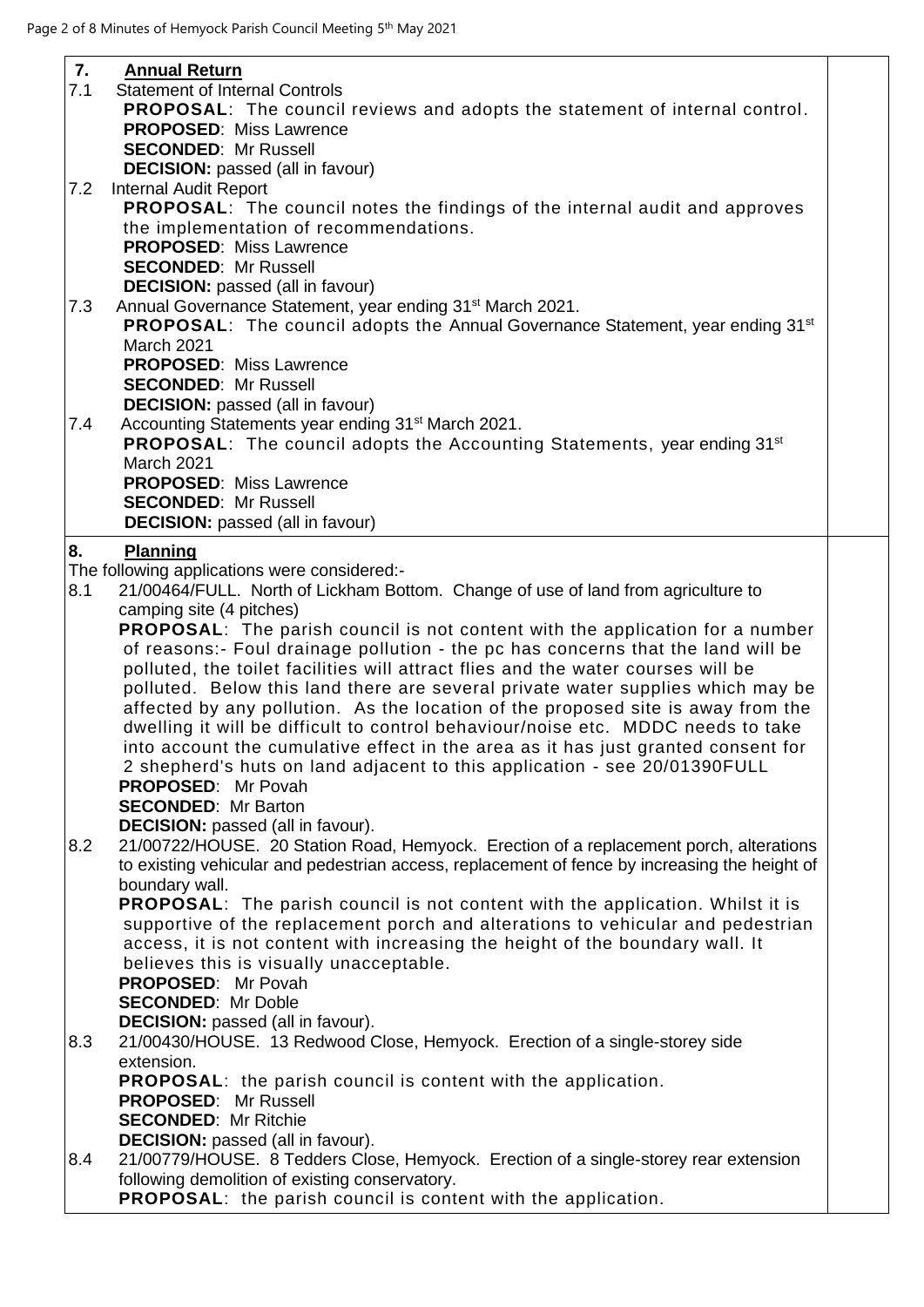| 7.  | <b>Annual Return</b>                                                                              |  |
|-----|---------------------------------------------------------------------------------------------------|--|
| 7.1 | <b>Statement of Internal Controls</b>                                                             |  |
|     | <b>PROPOSAL:</b> The council reviews and adopts the statement of internal control.                |  |
|     | <b>PROPOSED: Miss Lawrence</b>                                                                    |  |
|     | <b>SECONDED: Mr Russell</b>                                                                       |  |
|     | <b>DECISION:</b> passed (all in favour)                                                           |  |
| 7.2 | <b>Internal Audit Report</b>                                                                      |  |
|     | PROPOSAL: The council notes the findings of the internal audit and approves                       |  |
|     | the implementation of recommendations.                                                            |  |
|     | <b>PROPOSED: Miss Lawrence</b>                                                                    |  |
|     | <b>SECONDED: Mr Russell</b>                                                                       |  |
|     | <b>DECISION:</b> passed (all in favour)                                                           |  |
| 7.3 | Annual Governance Statement, year ending 31 <sup>st</sup> March 2021.                             |  |
|     | <b>PROPOSAL:</b> The council adopts the Annual Governance Statement, year ending 31 <sup>st</sup> |  |
|     | March 2021                                                                                        |  |
|     | <b>PROPOSED: Miss Lawrence</b>                                                                    |  |
|     | <b>SECONDED: Mr Russell</b>                                                                       |  |
|     | <b>DECISION:</b> passed (all in favour)                                                           |  |
| 7.4 | Accounting Statements year ending 31 <sup>st</sup> March 2021.                                    |  |
|     | <b>PROPOSAL:</b> The council adopts the Accounting Statements, year ending 31 <sup>st</sup>       |  |
|     | March 2021                                                                                        |  |
|     | <b>PROPOSED: Miss Lawrence</b>                                                                    |  |
|     | <b>SECONDED: Mr Russell</b>                                                                       |  |
|     | <b>DECISION:</b> passed (all in favour)                                                           |  |
| 8.  | Planning                                                                                          |  |
|     | The following applications were considered:-                                                      |  |
| 8.1 | 21/00464/FULL. North of Lickham Bottom. Change of use of land from agriculture to                 |  |
|     | camping site (4 pitches)                                                                          |  |
|     | <b>PROPOSAL:</b> The parish council is not content with the application for a number              |  |
|     | of reasons:- Foul drainage pollution - the pc has concerns that the land will be                  |  |
|     | polluted, the toilet facilities will attract flies and the water courses will be                  |  |
|     | polluted. Below this land there are several private water supplies which may be                   |  |
|     | affected by any pollution. As the location of the proposed site is away from the                  |  |
|     | dwelling it will be difficult to control behaviour/noise etc. MDDC needs to take                  |  |
|     | into account the cumulative effect in the area as it has just granted consent for                 |  |
|     | 2 shepherd's huts on land adjacent to this application - see 20/01390FULL                         |  |
|     | PROPOSED: Mr Povah                                                                                |  |
|     | <b>SECONDED: Mr Barton</b>                                                                        |  |
|     | <b>DECISION:</b> passed (all in favour).                                                          |  |
| 8.2 | 21/00722/HOUSE. 20 Station Road, Hemyock. Erection of a replacement porch, alterations            |  |
|     | to existing vehicular and pedestrian access, replacement of fence by increasing the height of     |  |
|     | boundary wall.                                                                                    |  |
|     | <b>PROPOSAL:</b> The parish council is not content with the application. Whilst it is             |  |
|     | supportive of the replacement porch and alterations to vehicular and pedestrian                   |  |
|     | access, it is not content with increasing the height of the boundary wall. It                     |  |
|     | believes this is visually unacceptable.                                                           |  |
|     | PROPOSED: Mr Povah                                                                                |  |
|     | <b>SECONDED: Mr Doble</b>                                                                         |  |
|     | <b>DECISION:</b> passed (all in favour).                                                          |  |
| 8.3 | 21/00430/HOUSE. 13 Redwood Close, Hemyock. Erection of a single-storey side                       |  |
|     | extension.                                                                                        |  |
|     | <b>PROPOSAL:</b> the parish council is content with the application.                              |  |
|     | <b>PROPOSED: Mr Russell</b>                                                                       |  |
|     | <b>SECONDED: Mr Ritchie</b>                                                                       |  |
|     | <b>DECISION:</b> passed (all in favour).                                                          |  |
| 8.4 | 21/00779/HOUSE. 8 Tedders Close, Hemyock. Erection of a single-storey rear extension              |  |
|     | following demolition of existing conservatory.                                                    |  |
|     | <b>PROPOSAL:</b> the parish council is content with the application.                              |  |
|     |                                                                                                   |  |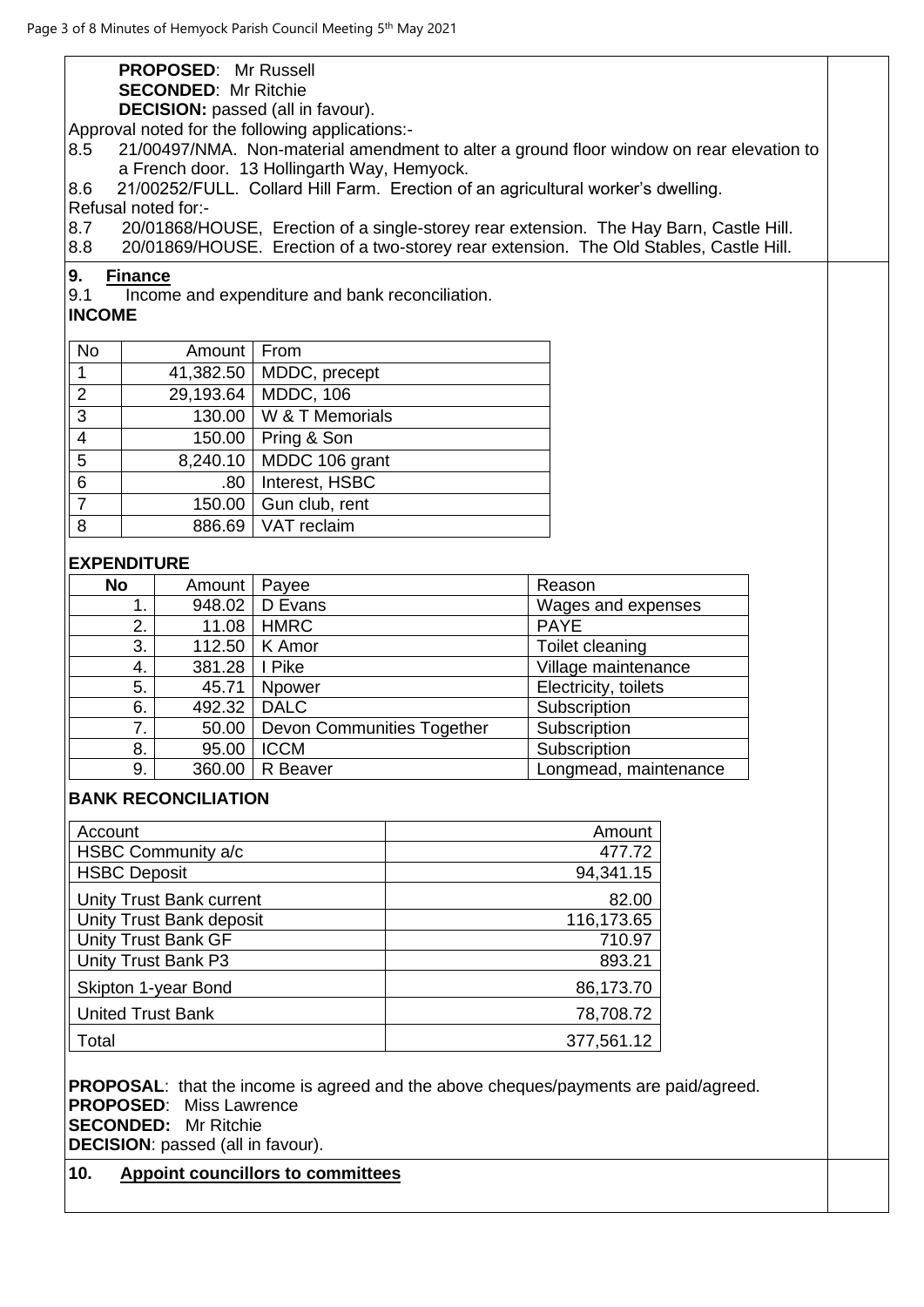|                                                                                            |                                                      | <b>PROPOSED: Mr Russell</b>    |                                                 |  |                                                                                          |  |
|--------------------------------------------------------------------------------------------|------------------------------------------------------|--------------------------------|-------------------------------------------------|--|------------------------------------------------------------------------------------------|--|
|                                                                                            |                                                      | <b>SECONDED: Mr Ritchie</b>    |                                                 |  |                                                                                          |  |
|                                                                                            | <b>DECISION:</b> passed (all in favour).             |                                |                                                 |  |                                                                                          |  |
|                                                                                            | Approval noted for the following applications:-      |                                |                                                 |  |                                                                                          |  |
| 8.5                                                                                        |                                                      |                                |                                                 |  | 21/00497/NMA. Non-material amendment to alter a ground floor window on rear elevation to |  |
|                                                                                            | a French door. 13 Hollingarth Way, Hemyock.          |                                |                                                 |  |                                                                                          |  |
| 8.6                                                                                        |                                                      |                                |                                                 |  | 21/00252/FULL. Collard Hill Farm. Erection of an agricultural worker's dwelling.         |  |
|                                                                                            |                                                      | Refusal noted for:-            |                                                 |  |                                                                                          |  |
| 8.7                                                                                        |                                                      |                                |                                                 |  | 20/01868/HOUSE, Erection of a single-storey rear extension. The Hay Barn, Castle Hill.   |  |
| 8.8                                                                                        |                                                      |                                |                                                 |  | 20/01869/HOUSE. Erection of a two-storey rear extension. The Old Stables, Castle Hill.   |  |
| 9.                                                                                         | <b>Finance</b>                                       |                                |                                                 |  |                                                                                          |  |
| 9.1                                                                                        |                                                      |                                | Income and expenditure and bank reconciliation. |  |                                                                                          |  |
| <b>INCOME</b>                                                                              |                                                      |                                |                                                 |  |                                                                                          |  |
| <b>No</b>                                                                                  |                                                      | Amount   From                  |                                                 |  |                                                                                          |  |
| $\mathbf{1}$                                                                               |                                                      | 41,382.50                      | MDDC, precept                                   |  |                                                                                          |  |
| $\overline{2}$                                                                             |                                                      |                                | 29,193.64   MDDC, 106                           |  |                                                                                          |  |
| $\overline{3}$                                                                             |                                                      |                                | 130.00   W & T Memorials                        |  |                                                                                          |  |
| $\overline{4}$                                                                             |                                                      | 150.00                         | Pring & Son                                     |  |                                                                                          |  |
| 5                                                                                          |                                                      | 8,240.10                       | MDDC 106 grant                                  |  |                                                                                          |  |
| $\overline{6}$                                                                             |                                                      | .80                            | Interest, HSBC                                  |  |                                                                                          |  |
| $\overline{7}$                                                                             |                                                      |                                |                                                 |  |                                                                                          |  |
|                                                                                            |                                                      | 150.00                         | Gun club, rent                                  |  |                                                                                          |  |
| 8                                                                                          |                                                      | 886.69                         | VAT reclaim                                     |  |                                                                                          |  |
| <b>EXPENDITURE</b>                                                                         |                                                      |                                |                                                 |  |                                                                                          |  |
| <b>No</b>                                                                                  |                                                      | Amount                         | Payee                                           |  | Reason                                                                                   |  |
|                                                                                            | 1.                                                   | 948.02                         | D Evans                                         |  | Wages and expenses                                                                       |  |
|                                                                                            | 2.                                                   | 11.08                          | <b>HMRC</b>                                     |  | <b>PAYE</b>                                                                              |  |
|                                                                                            | 3.<br>112.50                                         |                                | K Amor                                          |  | Toilet cleaning                                                                          |  |
|                                                                                            | 4.                                                   | 381.28                         | I Pike                                          |  | Village maintenance                                                                      |  |
|                                                                                            | 5.                                                   | 45.71                          | Npower                                          |  | Electricity, toilets                                                                     |  |
|                                                                                            | 6.                                                   | 492.32                         | <b>DALC</b>                                     |  | Subscription                                                                             |  |
|                                                                                            | 7.                                                   | 50.00                          | Devon Communities Together                      |  | Subscription                                                                             |  |
|                                                                                            | 8.                                                   |                                | 95.00   ICCM                                    |  | Subscription                                                                             |  |
|                                                                                            | 9.                                                   | 360.00                         | R Beaver                                        |  | Longmead, maintenance                                                                    |  |
|                                                                                            |                                                      | <b>BANK RECONCILIATION</b>     |                                                 |  |                                                                                          |  |
| Account                                                                                    |                                                      |                                |                                                 |  | Amount                                                                                   |  |
|                                                                                            |                                                      | HSBC Community a/c             |                                                 |  | 477.72                                                                                   |  |
| <b>HSBC Deposit</b>                                                                        |                                                      |                                |                                                 |  | 94,341.15                                                                                |  |
|                                                                                            |                                                      |                                |                                                 |  | 82.00                                                                                    |  |
|                                                                                            | Unity Trust Bank current<br>Unity Trust Bank deposit |                                |                                                 |  | 116,173.65                                                                               |  |
| <b>Unity Trust Bank GF</b>                                                                 |                                                      |                                |                                                 |  | 710.97                                                                                   |  |
| Unity Trust Bank P3                                                                        |                                                      |                                |                                                 |  | 893.21                                                                                   |  |
| Skipton 1-year Bond                                                                        |                                                      |                                |                                                 |  | 86,173.70                                                                                |  |
| <b>United Trust Bank</b>                                                                   |                                                      |                                |                                                 |  | 78,708.72                                                                                |  |
| Total                                                                                      |                                                      |                                |                                                 |  | 377,561.12                                                                               |  |
|                                                                                            |                                                      |                                |                                                 |  |                                                                                          |  |
| <b>PROPOSAL:</b> that the income is agreed and the above cheques/payments are paid/agreed. |                                                      |                                |                                                 |  |                                                                                          |  |
|                                                                                            |                                                      | <b>PROPOSED:</b> Miss Lawrence |                                                 |  |                                                                                          |  |
|                                                                                            | <b>SECONDED:</b> Mr Ritchie                          |                                |                                                 |  |                                                                                          |  |

**DECISION**: passed (all in favour).

# **10. Appoint councillors to committees**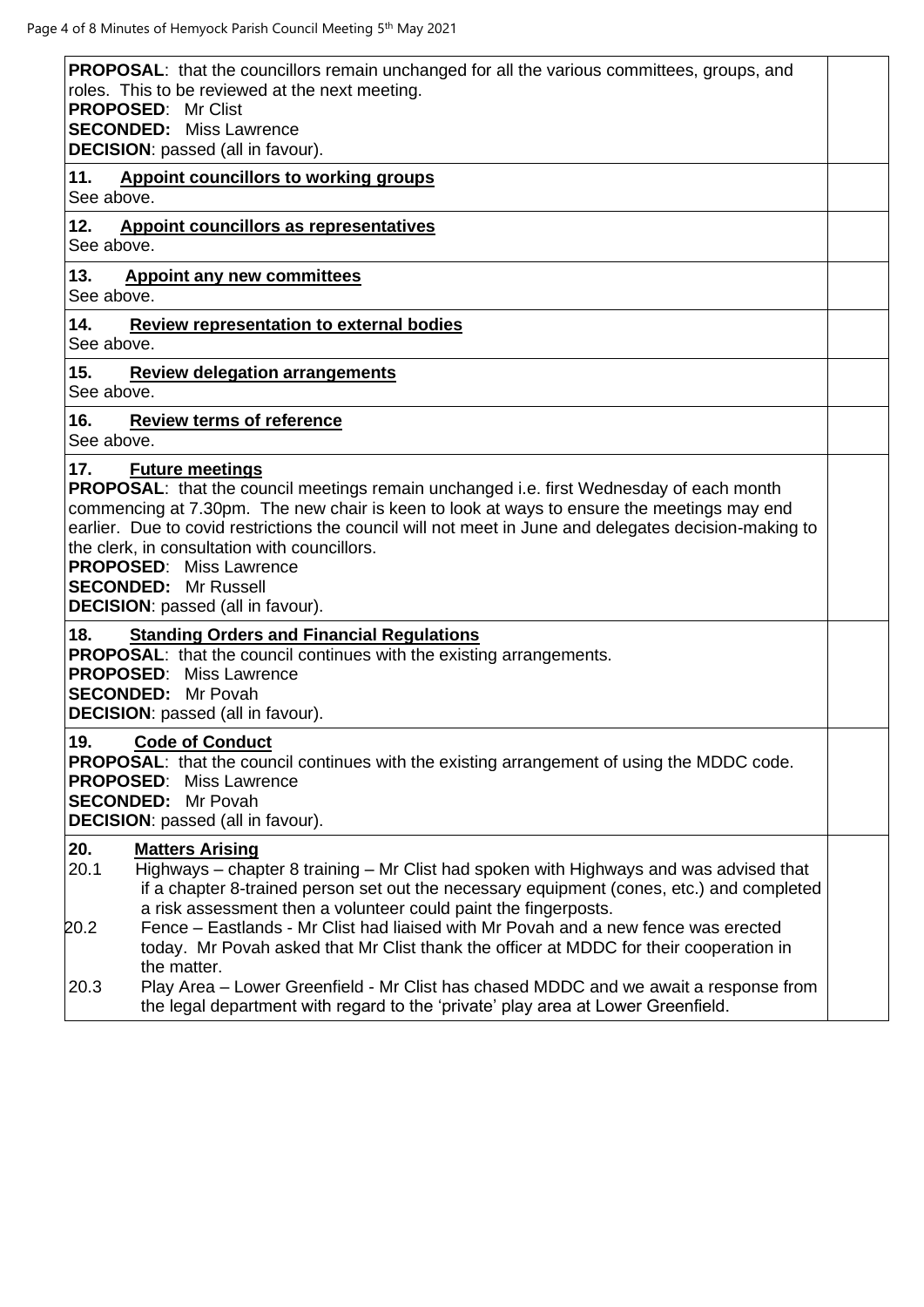| <b>PROPOSAL:</b> that the councillors remain unchanged for all the various committees, groups, and<br>roles. This to be reviewed at the next meeting.<br><b>PROPOSED: Mr Clist</b><br><b>SECONDED:</b> Miss Lawrence<br>DECISION: passed (all in favour).                                                                                                                                                                                                                                              |  |
|--------------------------------------------------------------------------------------------------------------------------------------------------------------------------------------------------------------------------------------------------------------------------------------------------------------------------------------------------------------------------------------------------------------------------------------------------------------------------------------------------------|--|
| 11.<br><b>Appoint councillors to working groups</b><br>See above.                                                                                                                                                                                                                                                                                                                                                                                                                                      |  |
| 12.<br><b>Appoint councillors as representatives</b><br>See above.                                                                                                                                                                                                                                                                                                                                                                                                                                     |  |
| 13.<br><b>Appoint any new committees</b><br>See above.                                                                                                                                                                                                                                                                                                                                                                                                                                                 |  |
| 14.<br><b>Review representation to external bodies</b><br>See above.                                                                                                                                                                                                                                                                                                                                                                                                                                   |  |
| 15.<br><b>Review delegation arrangements</b><br>See above.                                                                                                                                                                                                                                                                                                                                                                                                                                             |  |
| 16.<br><b>Review terms of reference</b><br>See above.                                                                                                                                                                                                                                                                                                                                                                                                                                                  |  |
| 17.<br><b>Future meetings</b><br>PROPOSAL: that the council meetings remain unchanged i.e. first Wednesday of each month<br>commencing at 7.30pm. The new chair is keen to look at ways to ensure the meetings may end<br>earlier. Due to covid restrictions the council will not meet in June and delegates decision-making to<br>the clerk, in consultation with councillors.<br><b>PROPOSED:</b> Miss Lawrence<br><b>SECONDED:</b> Mr Russell<br><b>DECISION:</b> passed (all in favour).           |  |
| 18.<br><b>Standing Orders and Financial Regulations</b><br><b>PROPOSAL:</b> that the council continues with the existing arrangements.<br><b>PROPOSED:</b> Miss Lawrence<br><b>SECONDED:</b> Mr Povah<br><b>DECISION:</b> passed (all in favour).                                                                                                                                                                                                                                                      |  |
| 19.<br><b>Code of Conduct</b><br>PROPOSAL: that the council continues with the existing arrangement of using the MDDC code.<br><b>PROPOSED:</b> Miss Lawrence<br><b>SECONDED:</b> Mr Povah<br>DECISION: passed (all in favour).                                                                                                                                                                                                                                                                        |  |
| 20.<br><b>Matters Arising</b><br>20.1<br>Highways – chapter 8 training – Mr Clist had spoken with Highways and was advised that<br>if a chapter 8-trained person set out the necessary equipment (cones, etc.) and completed<br>a risk assessment then a volunteer could paint the fingerposts.<br>Fence – Eastlands - Mr Clist had liaised with Mr Povah and a new fence was erected<br>20.2<br>today. Mr Povah asked that Mr Clist thank the officer at MDDC for their cooperation in<br>the matter. |  |
| Play Area - Lower Greenfield - Mr Clist has chased MDDC and we await a response from<br>20.3<br>the legal department with regard to the 'private' play area at Lower Greenfield.                                                                                                                                                                                                                                                                                                                       |  |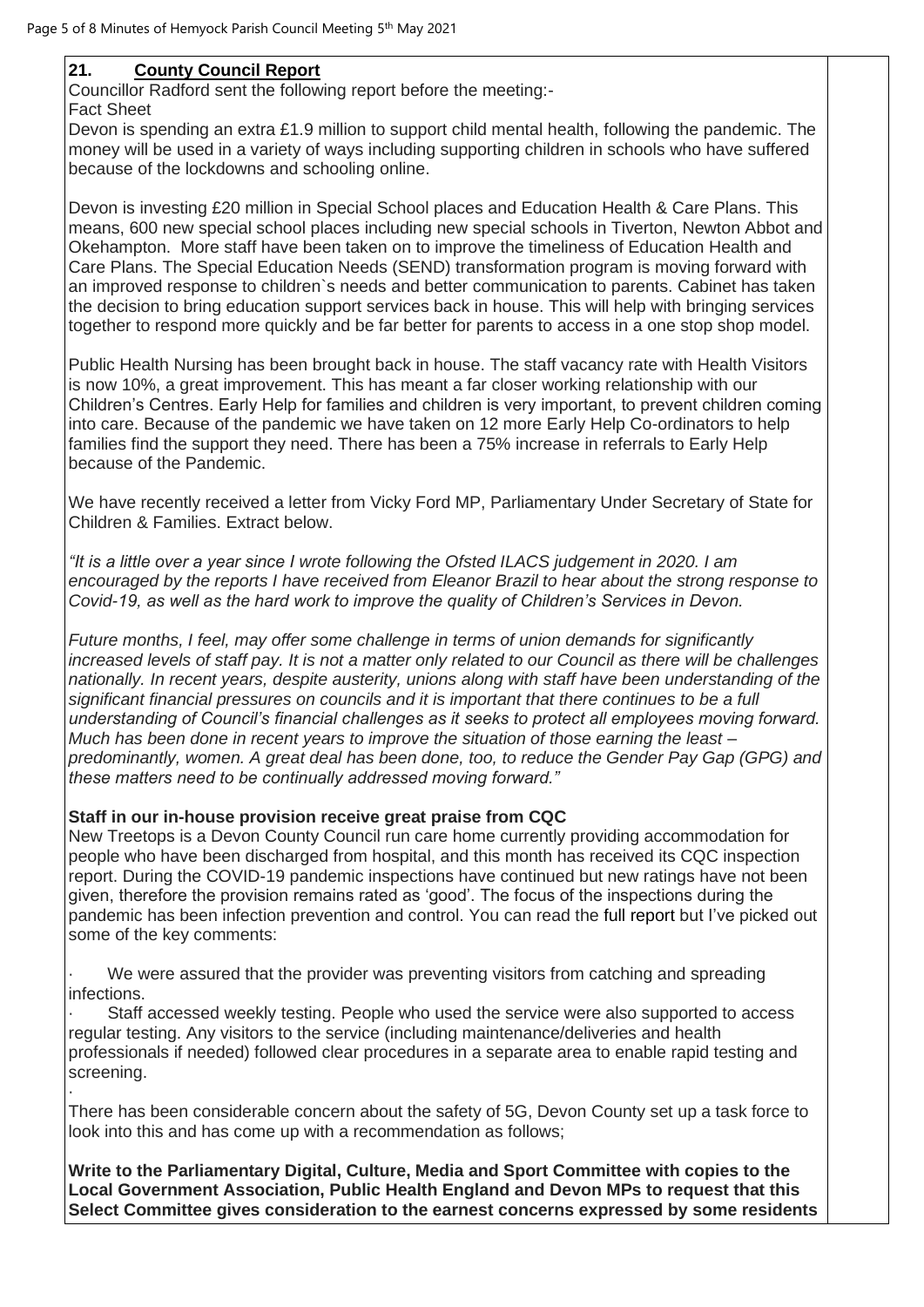## **21. County Council Report**

Councillor Radford sent the following report before the meeting:-

Fact Sheet Devon is spending an extra £1.9 million to support child mental health, following the pandemic. The money will be used in a variety of ways including supporting children in schools who have suffered because of the lockdowns and schooling online.

Devon is investing £20 million in Special School places and Education Health & Care Plans. This means, 600 new special school places including new special schools in Tiverton, Newton Abbot and Okehampton. More staff have been taken on to improve the timeliness of Education Health and Care Plans. The Special Education Needs (SEND) transformation program is moving forward with an improved response to children`s needs and better communication to parents. Cabinet has taken the decision to bring education support services back in house. This will help with bringing services together to respond more quickly and be far better for parents to access in a one stop shop model.

Public Health Nursing has been brought back in house. The staff vacancy rate with Health Visitors is now 10%, a great improvement. This has meant a far closer working relationship with our Children's Centres. Early Help for families and children is very important, to prevent children coming into care. Because of the pandemic we have taken on 12 more Early Help Co-ordinators to help families find the support they need. There has been a 75% increase in referrals to Early Help because of the Pandemic.

We have recently received a letter from Vicky Ford MP, Parliamentary Under Secretary of State for Children & Families. Extract below.

*"It is a little over a year since I wrote following the Ofsted ILACS judgement in 2020. I am encouraged by the reports I have received from Eleanor Brazil to hear about the strong response to Covid-19, as well as the hard work to improve the quality of Children's Services in Devon.*

*Future months, I feel, may offer some challenge in terms of union demands for significantly increased levels of staff pay. It is not a matter only related to our Council as there will be challenges nationally. In recent years, despite austerity, unions along with staff have been understanding of the significant financial pressures on councils and it is important that there continues to be a full understanding of Council's financial challenges as it seeks to protect all employees moving forward. Much has been done in recent years to improve the situation of those earning the least – predominantly, women. A great deal has been done, too, to reduce the Gender Pay Gap (GPG) and these matters need to be continually addressed moving forward."*

#### **Staff in our in-house provision receive great praise from CQC**

New Treetops is a Devon County Council run care home currently providing accommodation for people who have been discharged from hospital, and this month has received its CQC inspection report. During the COVID-19 pandemic inspections have continued but new ratings have not been given, therefore the provision remains rated as 'good'. The focus of the inspections during the pandemic has been infection prevention and control. You can read the [full report](http://www.cqc.org.uk/location/1-135895220) but I've picked out some of the key comments:

We were assured that the provider was preventing visitors from catching and spreading infections.

· Staff accessed weekly testing. People who used the service were also supported to access regular testing. Any visitors to the service (including maintenance/deliveries and health professionals if needed) followed clear procedures in a separate area to enable rapid testing and screening.

· There has been considerable concern about the safety of 5G, Devon County set up a task force to look into this and has come up with a recommendation as follows;

**Write to the Parliamentary Digital, Culture, Media and Sport Committee with copies to the Local Government Association, Public Health England and Devon MPs to request that this Select Committee gives consideration to the earnest concerns expressed by some residents**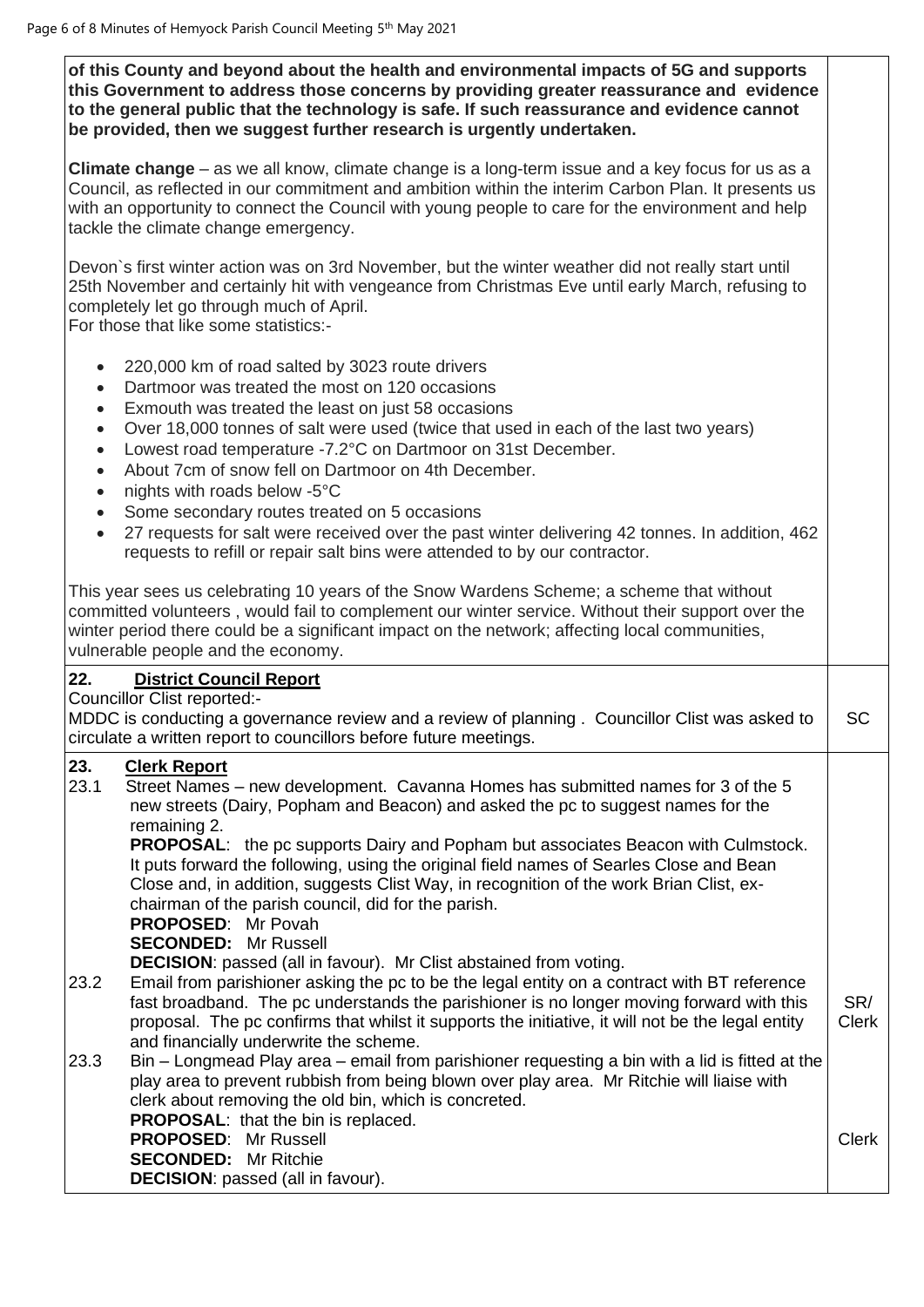**of this County and beyond about the health and environmental impacts of 5G and supports this Government to address those concerns by providing greater reassurance and evidence to the general public that the technology is safe. If such reassurance and evidence cannot be provided, then we suggest further research is urgently undertaken.**

**Climate change** – as we all know, climate change is a long-term issue and a key focus for us as a Council, as reflected in our commitment and ambition within the interim Carbon Plan. It presents us with an opportunity to connect the Council with young people to care for the environment and help tackle the climate change emergency.

Devon`s first winter action was on 3rd November, but the winter weather did not really start until 25th November and certainly hit with vengeance from Christmas Eve until early March, refusing to completely let go through much of April.

For those that like some statistics:-

- 220,000 km of road salted by 3023 route drivers
- Dartmoor was treated the most on 120 occasions
- Exmouth was treated the least on just 58 occasions
- Over 18,000 tonnes of salt were used (twice that used in each of the last two years)
- Lowest road temperature -7.2°C on Dartmoor on 31st December.
- About 7cm of snow fell on Dartmoor on 4th December.
- nights with roads below -5°C
- Some secondary routes treated on 5 occasions
- 27 requests for salt were received over the past winter delivering 42 tonnes. In addition, 462 requests to refill or repair salt bins were attended to by our contractor.

This year sees us celebrating 10 years of the Snow Wardens Scheme; a scheme that without committed volunteers , would fail to complement our winter service. Without their support over the winter period there could be a significant impact on the network; affecting local communities, vulnerable people and the economy.

## **22. District Council Report**

Councillor Clist reported:-

MDDC is conducting a governance review and a review of planning . Councillor Clist was asked to circulate a written report to councillors before future meetings. **SC** 

## **23. Clerk Report**

23.1 Street Names – new development. Cavanna Homes has submitted names for 3 of the 5 new streets (Dairy, Popham and Beacon) and asked the pc to suggest names for the remaining 2.

**PROPOSAL**: the pc supports Dairy and Popham but associates Beacon with Culmstock. It puts forward the following, using the original field names of Searles Close and Bean Close and, in addition, suggests Clist Way, in recognition of the work Brian Clist, exchairman of the parish council, did for the parish.

**PROPOSED**: Mr Povah

**SECONDED:** Mr Russell

**DECISION**: passed (all in favour). Mr Clist abstained from voting.

- 23.2 Email from parishioner asking the pc to be the legal entity on a contract with BT reference fast broadband. The pc understands the parishioner is no longer moving forward with this proposal. The pc confirms that whilst it supports the initiative, it will not be the legal entity and financially underwrite the scheme. SR/ Clerk
- 23.3 Bin Longmead Play area email from parishioner requesting a bin with a lid is fitted at the play area to prevent rubbish from being blown over play area. Mr Ritchie will liaise with clerk about removing the old bin, which is concreted. **PROPOSAL**: that the bin is replaced. **PROPOSED**: Mr Russell **SECONDED:** Mr Ritchie Clerk

**DECISION**: passed (all in favour).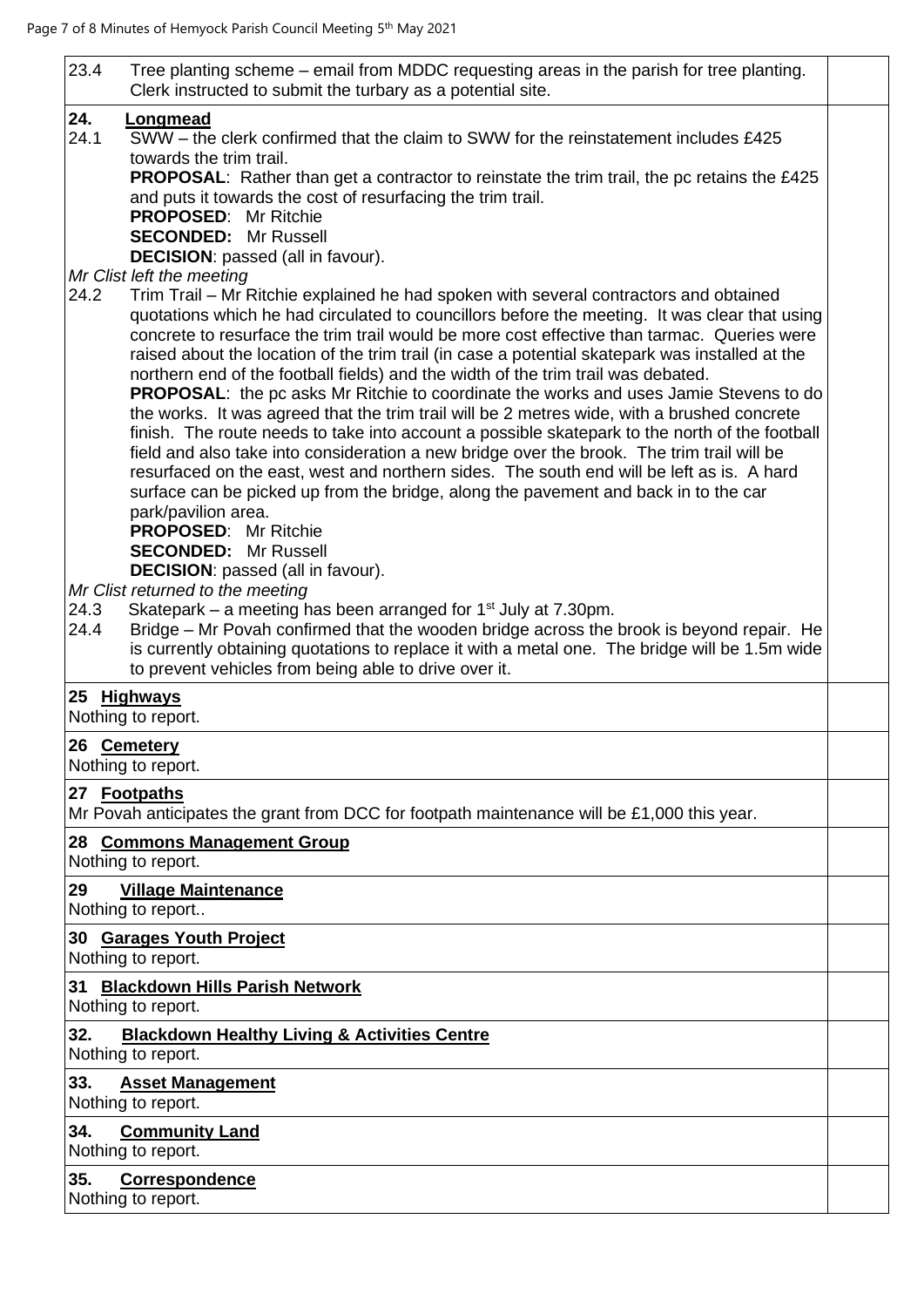| 23.4         | Tree planting scheme – email from MDDC requesting areas in the parish for tree planting.<br>Clerk instructed to submit the turbary as a potential site.                                                                                                                                                                                                                                                                                                                                                                                                                |  |
|--------------|------------------------------------------------------------------------------------------------------------------------------------------------------------------------------------------------------------------------------------------------------------------------------------------------------------------------------------------------------------------------------------------------------------------------------------------------------------------------------------------------------------------------------------------------------------------------|--|
|              |                                                                                                                                                                                                                                                                                                                                                                                                                                                                                                                                                                        |  |
| 24.<br>24.1  | Longmead<br>SWW – the clerk confirmed that the claim to SWW for the reinstatement includes £425                                                                                                                                                                                                                                                                                                                                                                                                                                                                        |  |
|              | towards the trim trail.<br><b>PROPOSAL:</b> Rather than get a contractor to reinstate the trim trail, the pc retains the £425                                                                                                                                                                                                                                                                                                                                                                                                                                          |  |
|              | and puts it towards the cost of resurfacing the trim trail.<br><b>PROPOSED: Mr Ritchie</b>                                                                                                                                                                                                                                                                                                                                                                                                                                                                             |  |
|              | <b>SECONDED: Mr Russell</b><br><b>DECISION:</b> passed (all in favour).                                                                                                                                                                                                                                                                                                                                                                                                                                                                                                |  |
|              | Mr Clist left the meeting                                                                                                                                                                                                                                                                                                                                                                                                                                                                                                                                              |  |
| 24.2         | Trim Trail – Mr Ritchie explained he had spoken with several contractors and obtained<br>quotations which he had circulated to councillors before the meeting. It was clear that using<br>concrete to resurface the trim trail would be more cost effective than tarmac. Queries were<br>raised about the location of the trim trail (in case a potential skatepark was installed at the<br>northern end of the football fields) and the width of the trim trail was debated.<br>PROPOSAL: the pc asks Mr Ritchie to coordinate the works and uses Jamie Stevens to do |  |
|              | the works. It was agreed that the trim trail will be 2 metres wide, with a brushed concrete<br>finish. The route needs to take into account a possible skatepark to the north of the football<br>field and also take into consideration a new bridge over the brook. The trim trail will be<br>resurfaced on the east, west and northern sides. The south end will be left as is. A hard<br>surface can be picked up from the bridge, along the pavement and back in to the car<br>park/pavilion area.                                                                 |  |
|              | <b>PROPOSED:</b> Mr Ritchie<br><b>SECONDED: Mr Russell</b>                                                                                                                                                                                                                                                                                                                                                                                                                                                                                                             |  |
|              | <b>DECISION:</b> passed (all in favour).<br>Mr Clist returned to the meeting                                                                                                                                                                                                                                                                                                                                                                                                                                                                                           |  |
| 24.3<br>24.4 | Skatepark – a meeting has been arranged for $1st$ July at 7.30pm.<br>Bridge – Mr Povah confirmed that the wooden bridge across the brook is beyond repair. He                                                                                                                                                                                                                                                                                                                                                                                                          |  |
|              | is currently obtaining quotations to replace it with a metal one. The bridge will be 1.5m wide<br>to prevent vehicles from being able to drive over it.                                                                                                                                                                                                                                                                                                                                                                                                                |  |
|              | 25 Highways<br>Nothing to report.                                                                                                                                                                                                                                                                                                                                                                                                                                                                                                                                      |  |
|              |                                                                                                                                                                                                                                                                                                                                                                                                                                                                                                                                                                        |  |
|              | 26 Cemetery<br>Nothing to report.                                                                                                                                                                                                                                                                                                                                                                                                                                                                                                                                      |  |
|              | 27 Footpaths<br>Mr Povah anticipates the grant from DCC for footpath maintenance will be £1,000 this year.                                                                                                                                                                                                                                                                                                                                                                                                                                                             |  |
|              | 28 Commons Management Group<br>Nothing to report.                                                                                                                                                                                                                                                                                                                                                                                                                                                                                                                      |  |
| 29           | <b>Village Maintenance</b><br>Nothing to report                                                                                                                                                                                                                                                                                                                                                                                                                                                                                                                        |  |
|              | 30 Garages Youth Project<br>Nothing to report.                                                                                                                                                                                                                                                                                                                                                                                                                                                                                                                         |  |
|              | 31 Blackdown Hills Parish Network<br>Nothing to report.                                                                                                                                                                                                                                                                                                                                                                                                                                                                                                                |  |
| 32.          | <b>Blackdown Healthy Living &amp; Activities Centre</b><br>Nothing to report.                                                                                                                                                                                                                                                                                                                                                                                                                                                                                          |  |
| 33.          | <b>Asset Management</b><br>Nothing to report.                                                                                                                                                                                                                                                                                                                                                                                                                                                                                                                          |  |
| 34.          | <b>Community Land</b>                                                                                                                                                                                                                                                                                                                                                                                                                                                                                                                                                  |  |
|              | Nothing to report.                                                                                                                                                                                                                                                                                                                                                                                                                                                                                                                                                     |  |
| 35.          | Correspondence<br>Nothing to report.                                                                                                                                                                                                                                                                                                                                                                                                                                                                                                                                   |  |
|              |                                                                                                                                                                                                                                                                                                                                                                                                                                                                                                                                                                        |  |